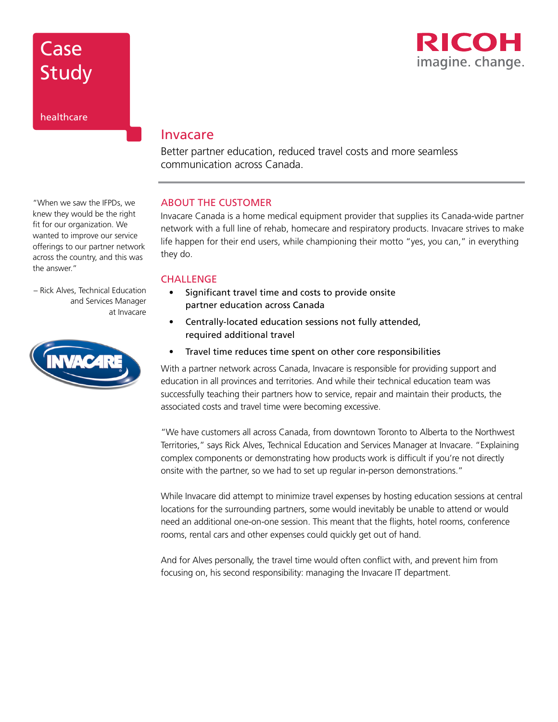

Study

**Case** 

#### healthcare

## Invacare

Better partner education, reduced travel costs and more seamless communication across Canada.

### ABOUT THE CUSTOMER

Invacare Canada is a home medical equipment provider that supplies its Canada-wide partner network with a full line of rehab, homecare and respiratory products. Invacare strives to make life happen for their end users, while championing their motto "yes, you can," in everything they do.

#### **CHALLENGE**

- Significant travel time and costs to provide onsite partner education across Canada
- Centrally-located education sessions not fully attended, required additional travel
- Travel time reduces time spent on other core responsibilities

With a partner network across Canada, Invacare is responsible for providing support and education in all provinces and territories. And while their technical education team was successfully teaching their partners how to service, repair and maintain their products, the associated costs and travel time were becoming excessive.

"We have customers all across Canada, from downtown Toronto to Alberta to the Northwest Territories," says Rick Alves, Technical Education and Services Manager at Invacare. "Explaining complex components or demonstrating how products work is difficult if you're not directly onsite with the partner, so we had to set up regular in-person demonstrations."

While Invacare did attempt to minimize travel expenses by hosting education sessions at central locations for the surrounding partners, some would inevitably be unable to attend or would need an additional one-on-one session. This meant that the flights, hotel rooms, conference rooms, rental cars and other expenses could quickly get out of hand.

And for Alves personally, the travel time would often conflict with, and prevent him from focusing on, his second responsibility: managing the Invacare IT department.

"When we saw the IFPDs, we knew they would be the right fit for our organization. We wanted to improve our service offerings to our partner network across the country, and this was the answer."

– Rick Alves, Technical Education and Services Manager at Invacare

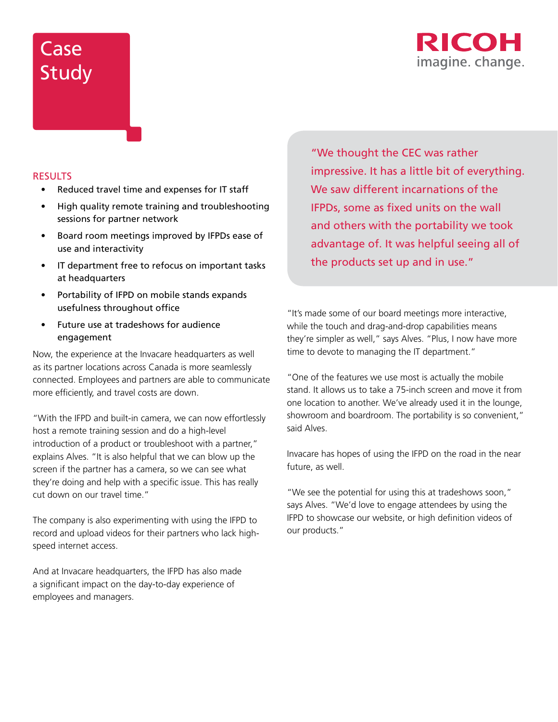# Case **Study**



#### RESULTS

- Reduced travel time and expenses for IT staff
- High quality remote training and troubleshooting sessions for partner network
- Board room meetings improved by IFPDs ease of use and interactivity
- IT department free to refocus on important tasks at headquarters
- Portability of IFPD on mobile stands expands usefulness throughout office
- Future use at tradeshows for audience engagement

Now, the experience at the Invacare headquarters as well as its partner locations across Canada is more seamlessly connected. Employees and partners are able to communicate more efficiently, and travel costs are down.

"With the IFPD and built-in camera, we can now effortlessly host a remote training session and do a high-level introduction of a product or troubleshoot with a partner," explains Alves. "It is also helpful that we can blow up the screen if the partner has a camera, so we can see what they're doing and help with a specific issue. This has really cut down on our travel time."

The company is also experimenting with using the IFPD to record and upload videos for their partners who lack highspeed internet access.

And at Invacare headquarters, the IFPD has also made a significant impact on the day-to-day experience of employees and managers.

"We thought the CEC was rather impressive. It has a little bit of everything. We saw different incarnations of the IFPDs, some as fixed units on the wall and others with the portability we took advantage of. It was helpful seeing all of the products set up and in use."

"It's made some of our board meetings more interactive, while the touch and drag-and-drop capabilities means they're simpler as well," says Alves. "Plus, I now have more time to devote to managing the IT department."

"One of the features we use most is actually the mobile stand. It allows us to take a 75-inch screen and move it from one location to another. We've already used it in the lounge, showroom and boardroom. The portability is so convenient," said Alves.

Invacare has hopes of using the IFPD on the road in the near future, as well.

"We see the potential for using this at tradeshows soon," says Alves. "We'd love to engage attendees by using the IFPD to showcase our website, or high definition videos of our products."